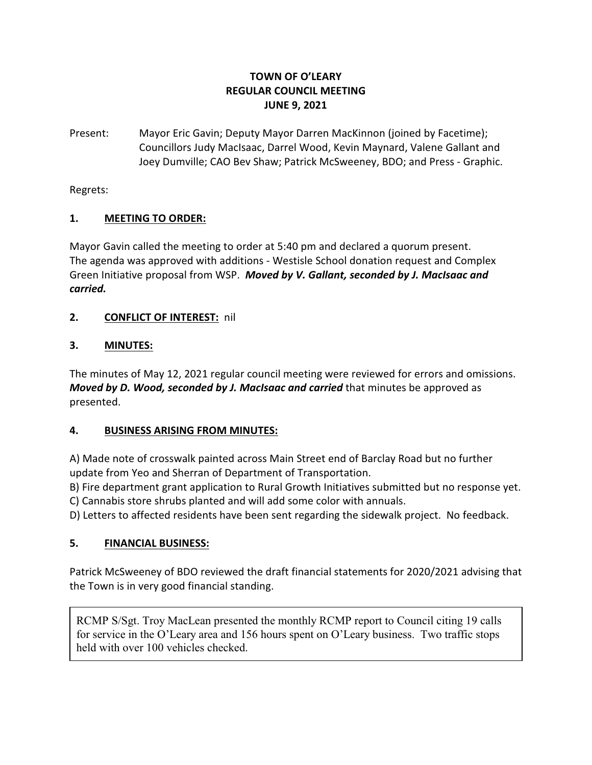## **TOWN OF O'LEARY REGULAR COUNCIL MEETING JUNE 9, 2021**

Present: Mayor Eric Gavin; Deputy Mayor Darren MacKinnon (joined by Facetime); Councillors Judy MacIsaac, Darrel Wood, Kevin Maynard, Valene Gallant and Joey Dumville; CAO Bev Shaw; Patrick McSweeney, BDO; and Press - Graphic.

Regrets:

## **1. MEETING TO ORDER:**

Mayor Gavin called the meeting to order at 5:40 pm and declared a quorum present. The agenda was approved with additions - Westisle School donation request and Complex Green Initiative proposal from WSP. *Moved by V. Gallant, seconded by J. MacIsaac and carried.*

## **2. CONFLICT OF INTEREST:** nil

# **3. MINUTES:**

The minutes of May 12, 2021 regular council meeting were reviewed for errors and omissions. *Moved by D. Wood, seconded by J. MacIsaac and carried* that minutes be approved as presented.

# **4. BUSINESS ARISING FROM MINUTES:**

A) Made note of crosswalk painted across Main Street end of Barclay Road but no further update from Yeo and Sherran of Department of Transportation.

B) Fire department grant application to Rural Growth Initiatives submitted but no response yet. C) Cannabis store shrubs planted and will add some color with annuals.

D) Letters to affected residents have been sent regarding the sidewalk project. No feedback.

# **5. FINANCIAL BUSINESS:**

Patrick McSweeney of BDO reviewed the draft financial statements for 2020/2021 advising that the Town is in very good financial standing.

RCMP S/Sgt. Troy MacLean presented the monthly RCMP report to Council citing 19 calls for service in the O'Leary area and 156 hours spent on O'Leary business. Two traffic stops held with over 100 vehicles checked.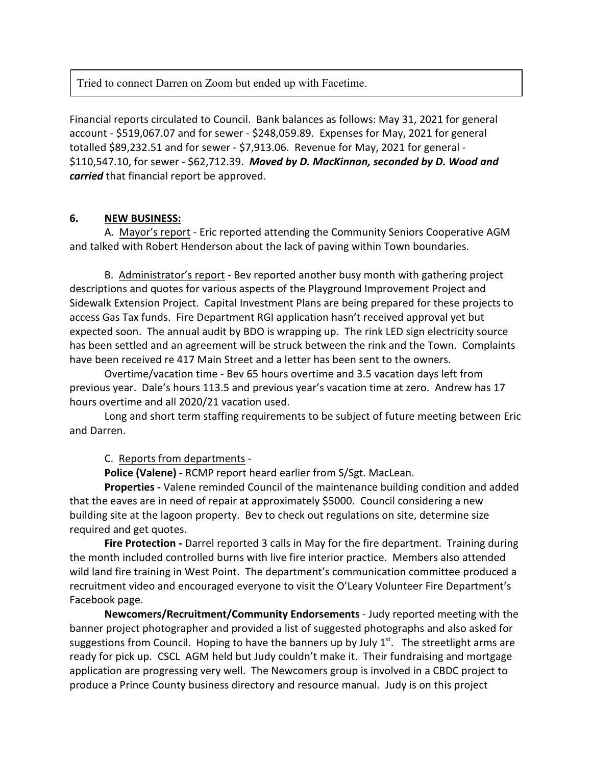Tried to connect Darren on Zoom but ended up with Facetime.

Financial reports circulated to Council. Bank balances as follows: May 31, 2021 for general account - \$519,067.07 and for sewer - \$248,059.89. Expenses for May, 2021 for general totalled \$89,232.51 and for sewer - \$7,913.06. Revenue for May, 2021 for general - \$110,547.10, for sewer - \$62,712.39. *Moved by D. MacKinnon, seconded by D. Wood and carried* that financial report be approved.

#### **6. NEW BUSINESS:**

A. Mayor's report - Eric reported attending the Community Seniors Cooperative AGM and talked with Robert Henderson about the lack of paving within Town boundaries.

B. Administrator's report - Bev reported another busy month with gathering project descriptions and quotes for various aspects of the Playground Improvement Project and Sidewalk Extension Project. Capital Investment Plans are being prepared for these projects to access Gas Tax funds. Fire Department RGI application hasn't received approval yet but expected soon. The annual audit by BDO is wrapping up. The rink LED sign electricity source has been settled and an agreement will be struck between the rink and the Town. Complaints have been received re 417 Main Street and a letter has been sent to the owners.

Overtime/vacation time - Bev 65 hours overtime and 3.5 vacation days left from previous year. Dale's hours 113.5 and previous year's vacation time at zero. Andrew has 17 hours overtime and all 2020/21 vacation used.

Long and short term staffing requirements to be subject of future meeting between Eric and Darren.

#### C. Reports from departments -

**Police (Valene) -** RCMP report heard earlier from S/Sgt. MacLean.

**Properties -** Valene reminded Council of the maintenance building condition and added that the eaves are in need of repair at approximately \$5000. Council considering a new building site at the lagoon property. Bev to check out regulations on site, determine size required and get quotes.

**Fire Protection -** Darrel reported 3 calls in May for the fire department. Training during the month included controlled burns with live fire interior practice. Members also attended wild land fire training in West Point. The department's communication committee produced a recruitment video and encouraged everyone to visit the O'Leary Volunteer Fire Department's Facebook page.

**Newcomers/Recruitment/Community Endorsements** - Judy reported meeting with the banner project photographer and provided a list of suggested photographs and also asked for suggestions from Council. Hoping to have the banners up by July  $1<sup>st</sup>$ . The streetlight arms are ready for pick up. CSCL AGM held but Judy couldn't make it. Their fundraising and mortgage application are progressing very well. The Newcomers group is involved in a CBDC project to produce a Prince County business directory and resource manual. Judy is on this project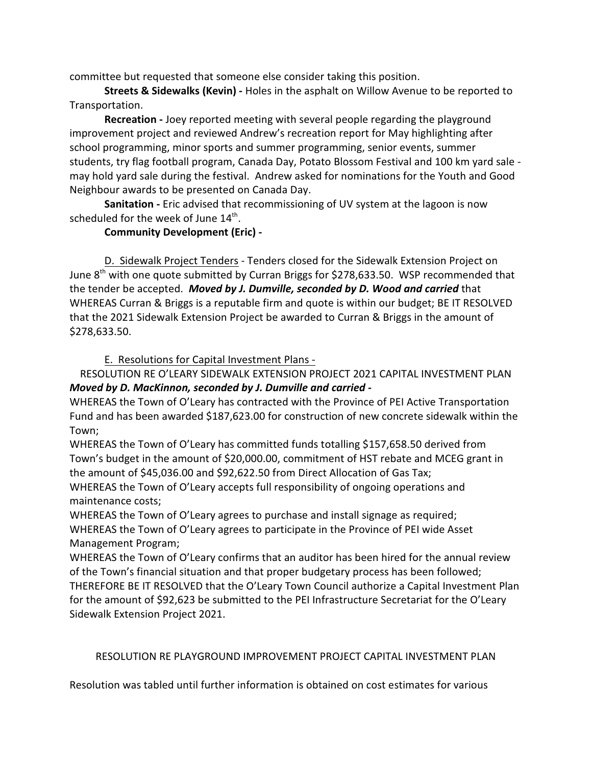committee but requested that someone else consider taking this position.

**Streets & Sidewalks (Kevin) -** Holes in the asphalt on Willow Avenue to be reported to Transportation.

**Recreation -** Joey reported meeting with several people regarding the playground improvement project and reviewed Andrew's recreation report for May highlighting after school programming, minor sports and summer programming, senior events, summer students, try flag football program, Canada Day, Potato Blossom Festival and 100 km yard sale may hold yard sale during the festival. Andrew asked for nominations for the Youth and Good Neighbour awards to be presented on Canada Day.

**Sanitation -** Eric advised that recommissioning of UV system at the lagoon is now scheduled for the week of June  $14^{\text{th}}$ .

#### **Community Development (Eric) -**

D. Sidewalk Project Tenders - Tenders closed for the Sidewalk Extension Project on June  $8<sup>th</sup>$  with one quote submitted by Curran Briggs for \$278,633.50. WSP recommended that the tender be accepted. *Moved by J. Dumville, seconded by D. Wood and carried* that WHEREAS Curran & Briggs is a reputable firm and quote is within our budget; BE IT RESOLVED that the 2021 Sidewalk Extension Project be awarded to Curran & Briggs in the amount of \$278,633.50.

E. Resolutions for Capital Investment Plans -

RESOLUTION RE O'LEARY SIDEWALK EXTENSION PROJECT 2021 CAPITAL INVESTMENT PLAN *Moved by D. MacKinnon, seconded by J. Dumville and carried -* 

WHEREAS the Town of O'Leary has contracted with the Province of PEI Active Transportation Fund and has been awarded \$187,623.00 for construction of new concrete sidewalk within the Town;

WHEREAS the Town of O'Leary has committed funds totalling \$157,658.50 derived from Town's budget in the amount of \$20,000.00, commitment of HST rebate and MCEG grant in the amount of \$45,036.00 and \$92,622.50 from Direct Allocation of Gas Tax; WHEREAS the Town of O'Leary accepts full responsibility of ongoing operations and maintenance costs;

WHEREAS the Town of O'Leary agrees to purchase and install signage as required; WHEREAS the Town of O'Leary agrees to participate in the Province of PEI wide Asset Management Program;

WHEREAS the Town of O'Leary confirms that an auditor has been hired for the annual review of the Town's financial situation and that proper budgetary process has been followed; THEREFORE BE IT RESOLVED that the O'Leary Town Council authorize a Capital Investment Plan for the amount of \$92,623 be submitted to the PEI Infrastructure Secretariat for the O'Leary Sidewalk Extension Project 2021.

#### RESOLUTION RE PLAYGROUND IMPROVEMENT PROJECT CAPITAL INVESTMENT PLAN

Resolution was tabled until further information is obtained on cost estimates for various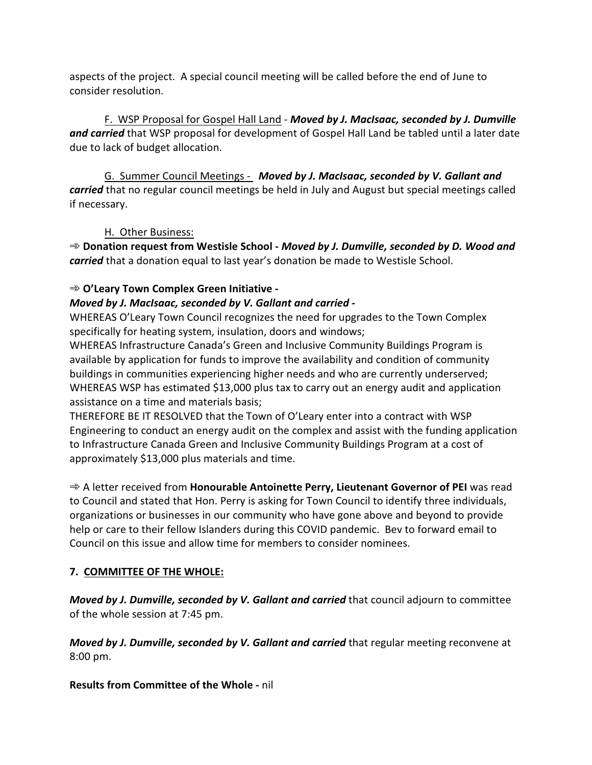aspects of the project. A special council meeting will be called before the end of June to consider resolution.

F. WSP Proposal for Gospel Hall Land - *Moved by J. MacIsaac, seconded by J. Dumville and carried* that WSP proposal for development of Gospel Hall Land be tabled until a later date due to lack of budget allocation.

G. Summer Council Meetings - *Moved by J. MacIsaac, seconded by V. Gallant and carried* that no regular council meetings be held in July and August but special meetings called if necessary.

#### H. Other Business:

A **Donation request from Westisle School -** *Moved by J. Dumville, seconded by D. Wood and carried* that a donation equal to last year's donation be made to Westisle School.

### A **O'Leary Town Complex Green Initiative -**

#### *Moved by J. MacIsaac, seconded by V. Gallant and carried -*

WHEREAS O'Leary Town Council recognizes the need for upgrades to the Town Complex specifically for heating system, insulation, doors and windows;

WHEREAS Infrastructure Canada's Green and Inclusive Community Buildings Program is available by application for funds to improve the availability and condition of community buildings in communities experiencing higher needs and who are currently underserved; WHEREAS WSP has estimated \$13,000 plus tax to carry out an energy audit and application assistance on a time and materials basis;

THEREFORE BE IT RESOLVED that the Town of O'Leary enter into a contract with WSP Engineering to conduct an energy audit on the complex and assist with the funding application to Infrastructure Canada Green and Inclusive Community Buildings Program at a cost of approximately \$13,000 plus materials and time.

**→ A letter received from Honourable Antoinette Perry, Lieutenant Governor of PEI** was read to Council and stated that Hon. Perry is asking for Town Council to identify three individuals, organizations or businesses in our community who have gone above and beyond to provide help or care to their fellow Islanders during this COVID pandemic. Bev to forward email to Council on this issue and allow time for members to consider nominees.

## **7. COMMITTEE OF THE WHOLE:**

*Moved by J. Dumville, seconded by V. Gallant and carried* that council adjourn to committee of the whole session at 7:45 pm.

*Moved by J. Dumville, seconded by V. Gallant and carried* that regular meeting reconvene at 8:00 pm.

**Results from Committee of the Whole -** nil